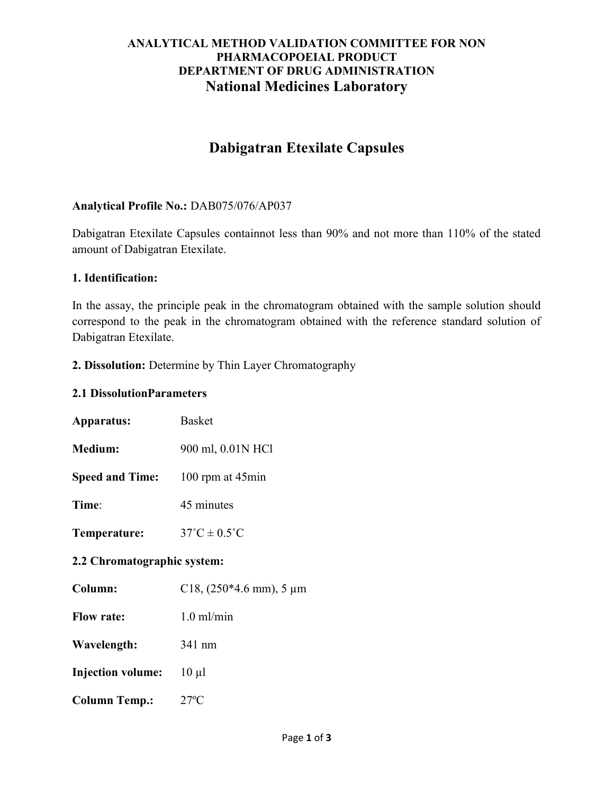# ANALYTICAL METHOD VALIDATION COMMITTEE FOR NON PHARMACOPOEIAL PRODUCT DEPARTMENT OF DRUG ADMINISTRATION National Medicines Laboratory

# Dabigatran Etexilate Capsules

## Analytical Profile No.: DAB075/076/AP037

Dabigatran Etexilate Capsules containnot less than 90% and not more than 110% of the stated amount of Dabigatran Etexilate.

## 1. Identification:

In the assay, the principle peak in the chromatogram obtained with the sample solution should correspond to the peak in the chromatogram obtained with the reference standard solution of Dabigatran Etexilate.

#### 2. Dissolution: Determine by Thin Layer Chromatography

#### 2.1 DissolutionParameters

| Apparatus:                  | <b>Basket</b>                         |
|-----------------------------|---------------------------------------|
| Medium:                     | 900 ml, 0.01N HCl                     |
| <b>Speed and Time:</b>      | 100 rpm at $45$ min                   |
| Time:                       | 45 minutes                            |
| Temperature:                | $37^{\circ}$ C $\pm$ 0.5 $^{\circ}$ C |
| 2.2 Chromatographic system: |                                       |
| Column:                     | C18, $(250*4.6$ mm), 5 µm             |
| <b>Flow rate:</b>           | $1.0$ ml/min                          |
| Wavelength:                 | 341 nm                                |
| <b>Injection volume:</b>    | $10 \mu l$                            |
| <b>Column Temp.:</b>        | $27^{\circ}C$                         |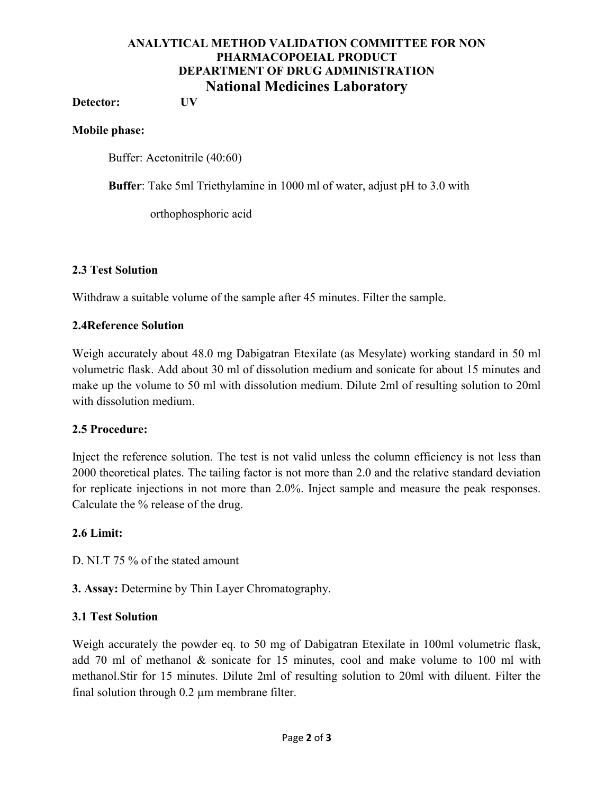## ANALYTICAL METHOD VALIDATION COMMITTEE FOR NON PHARMACOPOEIAL PRODUCT DEPARTMENT OF DRUG ADMINISTRATION National Medicines Laboratory

Detector: UV

#### Mobile phase:

Buffer: Acetonitrile (40:60)

Buffer: Take 5ml Triethylamine in 1000 ml of water, adjust pH to 3.0 with

orthophosphoric acid

#### 2.3 Test Solution

Withdraw a suitable volume of the sample after 45 minutes. Filter the sample.

#### 2.4Reference Solution

Weigh accurately about 48.0 mg Dabigatran Etexilate (as Mesylate) working standard in 50 ml volumetric flask. Add about 30 ml of dissolution medium and sonicate for about 15 minutes and make up the volume to 50 ml with dissolution medium. Dilute 2ml of resulting solution to 20ml with dissolution medium.

#### 2.5 Procedure:

Inject the reference solution. The test is not valid unless the column efficiency is not less than 2000 theoretical plates. The tailing factor is not more than 2.0 and the relative standard deviation for replicate injections in not more than 2.0%. Inject sample and measure the peak responses. Calculate the % release of the drug.

#### 2.6 Limit:

D. NLT 75 % of the stated amount

3. Assay: Determine by Thin Layer Chromatography.

#### 3.1 Test Solution

Weigh accurately the powder eq. to 50 mg of Dabigatran Etexilate in 100ml volumetric flask, add 70 ml of methanol & sonicate for 15 minutes, cool and make volume to 100 ml with methanol.Stir for 15 minutes. Dilute 2ml of resulting solution to 20ml with diluent. Filter the final solution through 0.2 µm membrane filter.